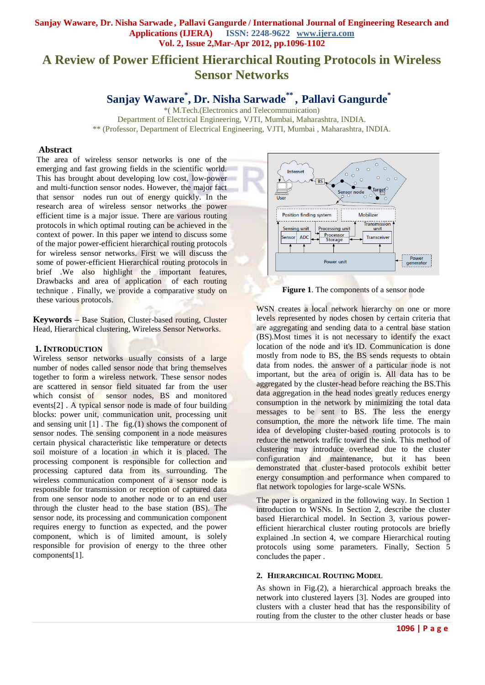# **A Review of Power Efficient Hierarchical Routing Protocols in Wireless Sensor Networks**

**Sanjay Waware\* , Dr. Nisha Sarwade\*\* , Pallavi Gangurde\*** 

\*( M.Tech.(Electronics and Telecommunication) Department of Electrical Engineering, VJTI, Mumbai, Maharashtra, INDIA. \*\* (Professor, Department of Electrical Engineering, VJTI, Mumbai , Maharashtra, INDIA.

#### **Abstract**

The area of wireless sensor networks is one of the emerging and fast growing fields in the scientific world. This has brought about developing low cost, low-power and multi-function sensor nodes. However, the major fact that sensor nodes run out of energy quickly. In the research area of wireless sensor networks the power efficient time is a major issue. There are various routing protocols in which optimal routing can be achieved in the context of power. In this paper we intend to discuss some of the major power-efficient hierarchical routing protocols for wireless sensor networks. First we will discuss the some of power-efficient Hierarchical routing protocols in brief .We also highlight the important features, Drawbacks and area of application of each routing technique . Finally, we provide a comparative study on these various protocols.

**Keywords –** Base Station, Cluster-based routing, Cluster Head, Hierarchical clustering, Wireless Sensor Networks.

#### **1. INTRODUCTION**

Wireless sensor networks usually consists of a large number of nodes called sensor node that bring themselves together to form a wireless network. These sensor nodes are scattered in sensor field situated far from the user which consist of sensor nodes, BS and monitored events[2] . A typical sensor node is made of four building blocks: power unit, communication unit, processing unit and sensing unit  $[1]$ . The fig. $(1)$  shows the component of sensor nodes. The sensing component in a node measures certain physical characteristic like temperature or detects soil moisture of a location in which it is placed. The processing component is responsible for collection and processing captured data from its surrounding. The wireless communication component of a sensor node is responsible for transmission or reception of captured data from one sensor node to another node or to an end user through the cluster head to the base station (BS). The sensor node, its processing and communication component requires energy to function as expected, and the power component, which is of limited amount, is solely responsible for provision of energy to the three other components[1].



**Figure 1**. The components of a sensor node

WSN creates a local network hierarchy on one or more levels represented by nodes chosen by certain criteria that are aggregating and sending data to a central base station (BS).Most times it is not necessary to identify the exact location of the node and it's ID. Communication is done mostly from node to BS, the BS sends requests to obtain data from nodes. the answer of a particular node is not important, but the area of origin is. All data has to be aggregated by the cluster-head before reaching the BS.This data aggregation in the head nodes greatly reduces energy consumption in the network by minimizing the total data messages to be sent to BS. The less the energy consumption, the more the network life time. The main idea of developing cluster-based routing protocols is to reduce the network traffic toward the sink. This method of clustering may introduce overhead due to the cluster configuration and maintenance, but it has been demonstrated that cluster-based protocols exhibit better energy consumption and performance when compared to flat network topologies for large-scale WSNs.

The paper is organized in the following way. In Section 1 introduction to WSNs. In Section 2, describe the cluster based Hierarchical model. In Section 3, various powerefficient hierarchical cluster routing protocols are briefly explained .In section 4, we compare Hierarchical routing protocols using some parameters. Finally, Section 5 concludes the paper .

#### **2. HIERARCHICAL ROUTING MODEL**

As shown in Fig.(2), a hierarchical approach breaks the network into clustered layers [3]. Nodes are grouped into clusters with a cluster head that has the responsibility of routing from the cluster to the other cluster heads or base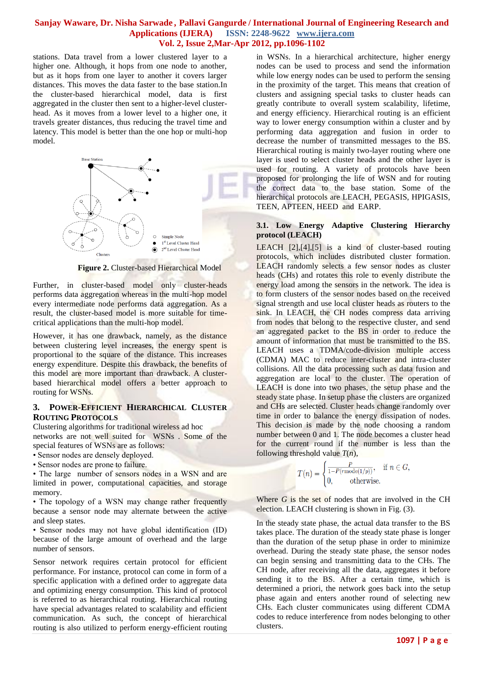stations. Data travel from a lower clustered layer to a higher one. Although, it hops from one node to another, but as it hops from one layer to another it covers larger distances. This moves the data faster to the base station.In the cluster-based hierarchical model, data is first aggregated in the cluster then sent to a higher-level clusterhead. As it moves from a lower level to a higher one, it travels greater distances, thus reducing the travel time and latency. This model is better than the one hop or multi-hop model.



 **Figure 2.** Cluster-based Hierarchical Model

Further, in cluster-based model only cluster-heads performs data aggregation whereas in the multi-hop model every intermediate node performs data aggregation. As a result, the cluster-based model is more suitable for timecritical applications than the multi-hop model.

However, it has one drawback, namely, as the distance between clustering level increases, the energy spent is proportional to the square of the distance. This increases energy expenditure. Despite this drawback, the benefits of this model are more important than drawback. A clusterbased hierarchical model offers a better approach to routing for WSNs.

## **3. POWER-EFFICIENT HIERARCHICAL CLUSTER ROUTING PROTOCOLS**

Clustering algorithms for traditional wireless ad hoc

networks are not well suited for WSNs . Some of the special features of WSNs are as follows:

• Sensor nodes are densely deployed.

• Sensor nodes are prone to failure.

• The large number of sensors nodes in a WSN and are limited in power, computational capacities, and storage memory.

• The topology of a WSN may change rather frequently because a sensor node may alternate between the active and sleep states.

• Sensor nodes may not have global identification (ID) because of the large amount of overhead and the large number of sensors.

Sensor network requires certain protocol for efficient performance. For instance, protocol can come in form of a specific application with a defined order to aggregate data and optimizing energy consumption. This kind of protocol is referred to as hierarchical routing. Hierarchical routing have special advantages related to scalability and efficient communication. As such, the concept of hierarchical routing is also utilized to perform energy-efficient routing

in WSNs. In a hierarchical architecture, higher energy nodes can be used to process and send the information while low energy nodes can be used to perform the sensing in the proximity of the target. This means that creation of clusters and assigning special tasks to cluster heads can greatly contribute to overall system scalability, lifetime, and energy efficiency. Hierarchical routing is an efficient way to lower energy consumption within a cluster and by performing data aggregation and fusion in order to decrease the number of transmitted messages to the BS. Hierarchical routing is mainly two-layer routing where one layer is used to select cluster heads and the other layer is used for routing. A variety of protocols have been proposed for prolonging the life of WSN and for routing the correct data to the base station. Some of the hierarchical protocols are LEACH, PEGASIS, HPIGASIS, TEEN, APTEEN, HEED and EARP.

## **3.1. Low Energy Adaptive Clustering Hierarchy protocol (LEACH)**

LEACH [2],[4],[5] is a kind of cluster-based routing protocols, which includes distributed cluster formation. LEACH randomly selects a few sensor nodes as cluster heads (CHs) and rotates this role to evenly distribute the energy load among the sensors in the network. The idea is to form clusters of the sensor nodes based on the received signal strength and use local cluster heads as routers to the sink. In LEACH, the CH nodes compress data arriving from nodes that belong to the respective cluster, and send an aggregated packet to the BS in order to reduce the amount of information that must be transmitted to the BS. LEACH uses a TDMA/code-division multiple access (CDMA) MAC to reduce inter-cluster and intra-cluster collisions. All the data processing such as data fusion and aggregation are local to the cluster. The operation of LEACH is done into two phases, the setup phase and the steady state phase. In setup phase the clusters are organized and CHs are selected. Cluster heads change randomly over time in order to balance the energy dissipation of nodes. This decision is made by the node choosing a random number between 0 and 1. The node becomes a cluster head for the current round if the number is less than the following threshold value *T*(*n*),

$$
T(n) = \begin{cases} \frac{P}{1 - P(r \mod (1/p))}, & \text{if } n \in G, \\ 0, & \text{otherwise.} \end{cases}
$$

Where *G* is the set of nodes that are involved in the CH election. LEACH clustering is shown in Fig. (3).

In the steady state phase, the actual data transfer to the BS takes place. The duration of the steady state phase is longer than the duration of the setup phase in order to minimize overhead. During the steady state phase, the sensor nodes can begin sensing and transmitting data to the CHs. The CH node, after receiving all the data, aggregates it before sending it to the BS. After a certain time, which is determined a priori, the network goes back into the setup phase again and enters another round of selecting new CHs. Each cluster communicates using different CDMA codes to reduce interference from nodes belonging to other clusters.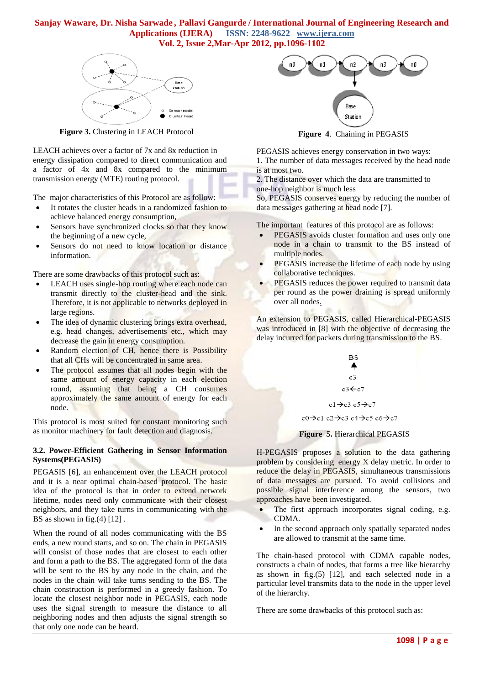

 **Figure 3.** Clustering in LEACH Protocol

LEACH achieves over a factor of 7x and 8x reduction in energy dissipation compared to direct communication and a factor of 4x and 8x compared to the minimum transmission energy (MTE) routing protocol.

The major characteristics of this Protocol are as follow:

- It rotates the cluster heads in a randomized fashion to achieve balanced energy consumption,
- Sensors have synchronized clocks so that they know the beginning of a new cycle,
- Sensors do not need to know location or distance information.

There are some drawbacks of this protocol such as:

- LEACH uses single-hop routing where each node can transmit directly to the cluster-head and the sink. Therefore, it is not applicable to networks deployed in large regions.
- The idea of dynamic clustering brings extra overhead, e.g. head changes, advertisements etc., which may decrease the gain in energy consumption.
- Random election of CH, hence there is Possibility that all CHs will be concentrated in same area.
- The protocol assumes that all nodes begin with the same amount of energy capacity in each election round, assuming that being a CH consumes approximately the same amount of energy for each node.

This protocol is most suited for constant monitoring such as monitor machinery for fault detection and diagnosis.

## **3.2. Power-Efficient Gathering in Sensor Information Systems(PEGASIS)**

PEGASIS [6], an enhancement over the LEACH protocol and it is a near optimal chain-based protocol. The basic idea of the protocol is that in order to extend network lifetime, nodes need only communicate with their closest neighbors, and they take turns in communicating with the BS as shown in fig. $(4)$  [12].

When the round of all nodes communicating with the BS ends, a new round starts, and so on. The chain in PEGASIS will consist of those nodes that are closest to each other and form a path to the BS. The aggregated form of the data will be sent to the BS by any node in the chain, and the nodes in the chain will take turns sending to the BS. The chain construction is performed in a greedy fashion. To locate the closest neighbor node in PEGASIS, each node uses the signal strength to measure the distance to all neighboring nodes and then adjusts the signal strength so that only one node can be heard.



**Figure 4**. Chaining in PEGASIS

PEGASIS achieves energy conservation in two ways:

1. The number of data messages received by the head node is at most two.

2. The distance over which the data are transmitted to one-hop neighbor is much less

So, PEGASIS conserves energy by reducing the number of data messages gathering at head node [7].

The important features of this protocol are as follows:

- PEGASIS avoids cluster formation and uses only one node in a chain to transmit to the BS instead of multiple nodes.
- PEGASIS increase the lifetime of each node by using collaborative techniques.
- PEGASIS reduces the power required to transmit data per round as the power draining is spread uniformly over all nodes.

An extension to PEGASIS, called Hierarchical-PEGASIS was introduced in [8] with the objective of decreasing the delay incurred for packets during transmission to the BS.



# **Figure 5.** Hierarchical PEGASIS

H-PEGASIS proposes a solution to the data gathering problem by considering energy X delay metric. In order to reduce the delay in PEGASIS, simultaneous transmissions of data messages are pursued. To avoid collisions and possible signal interference among the sensors, two approaches have been investigated.

- The first approach incorporates signal coding, e.g. CDMA.
- In the second approach only spatially separated nodes are allowed to transmit at the same time.

The chain-based protocol with CDMA capable nodes, constructs a chain of nodes, that forms a tree like hierarchy as shown in fig. $(5)$  [12], and each selected node in a particular level transmits data to the node in the upper level of the hierarchy.

There are some drawbacks of this protocol such as: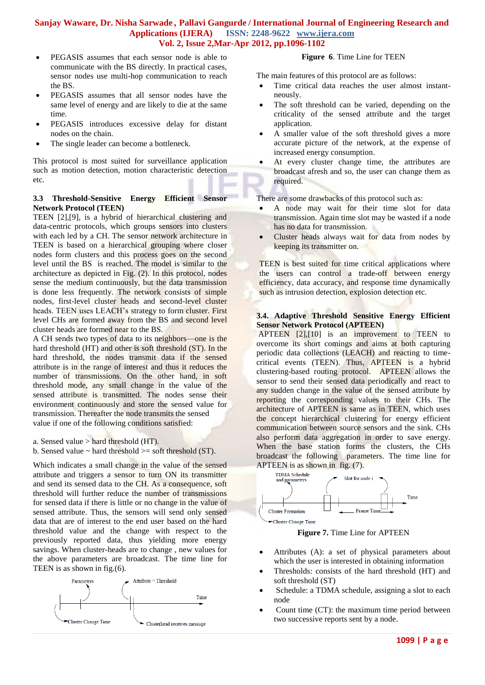- PEGASIS assumes that each sensor node is able to communicate with the BS directly. In practical cases, sensor nodes use multi-hop communication to reach the BS.
- PEGASIS assumes that all sensor nodes have the same level of energy and are likely to die at the same time.
- PEGASIS introduces excessive delay for distant nodes on the chain.
- The single leader can become a bottleneck.

This protocol is most suited for surveillance application such as motion detection, motion characteristic detection etc.

## **3.3 Threshold-Sensitive Energy Efficient Sensor Network Protocol (TEEN)**

TEEN [2],[9], is a hybrid of hierarchical clustering and data-centric protocols, which groups sensors into clusters with each led by a CH. The sensor network architecture in TEEN is based on a hierarchical grouping where closer nodes form clusters and this process goes on the second level until the BS is reached. The model is similar to the architecture as depicted in Fig. (2). In this protocol, nodes sense the medium continuously, but the data transmission is done less frequently. The network consists of simple nodes, first-level cluster heads and second-level cluster heads. TEEN uses LEACH's strategy to form cluster. First level CHs are formed away from the BS and second level cluster heads are formed near to the BS.

A CH sends two types of data to its neighbors—one is the hard threshold (HT) and other is soft threshold (ST). In the hard threshold, the nodes transmit data if the sensed attribute is in the range of interest and thus it reduces the number of transmissions. On the other hand, in soft threshold mode, any small change in the value of the sensed attribute is transmitted. The nodes sense their environment continuously and store the sensed value for transmission. Thereafter the node transmits the sensed value if one of the following conditions satisfied:

- a. Sensed value  $>$  hard threshold (HT).
- b. Sensed value  $\sim$  hard threshold  $\ge$  soft threshold (ST).

Which indicates a small change in the value of the sensed attribute and triggers a sensor to turn ON its transmitter and send its sensed data to the CH. As a consequence, soft threshold will further reduce the number of transmissions for sensed data if there is little or no change in the value of sensed attribute. Thus, the sensors will send only sensed data that are of interest to the end user based on the hard threshold value and the change with respect to the previously reported data, thus yielding more energy savings. When cluster-heads are to change , new values for the above parameters are broadcast. The time line for TEEN is as shown in fig.(6).



## **Figure 6**. Time Line for TEEN

The main features of this protocol are as follows:

- Time critical data reaches the user almost instantneously.
- The soft threshold can be varied, depending on the criticality of the sensed attribute and the target application.
- A smaller value of the soft threshold gives a more accurate picture of the network, at the expense of increased energy consumption.
- At every cluster change time, the attributes are broadcast afresh and so, the user can change them as required.

There are some drawbacks of this protocol such as:

- A node may wait for their time slot for data transmission. Again time slot may be wasted if a node has no data for transmission.
- Cluster heads always wait for data from nodes by keeping its transmitter on.

TEEN is best suited for time critical applications where the users can control a trade-off between energy efficiency, data accuracy, and response time dynamically such as intrusion detection, explosion detection etc.

#### **3.4. Adaptive Threshold Sensitive Energy Efficient Sensor Network Protocol (APTEEN)**

APTEEN [2],[10] is an improvement to TEEN to overcome its short comings and aims at both capturing periodic data collections (LEACH) and reacting to timecritical events (TEEN). Thus, APTEEN is a hybrid clustering-based routing protocol. APTEEN allows the sensor to send their sensed data periodically and react to any sudden change in the value of the sensed attribute by reporting the corresponding values to their CHs. The architecture of APTEEN is same as in TEEN, which uses the concept hierarchical clustering for energy efficient communication between source sensors and the sink. CHs also perform data aggregation in order to save energy. When the base station forms the clusters, the CHs broadcast the following parameters. The time line for APTEEN is as shown in fig. (7).



**Figure 7.** Time Line for APTEEN

- Attributes (A): a set of physical parameters about which the user is interested in obtaining information
- Thresholds: consists of the hard threshold (HT) and soft threshold (ST)
- Schedule: a TDMA schedule, assigning a slot to each node
- Count time (CT): the maximum time period between two successive reports sent by a node.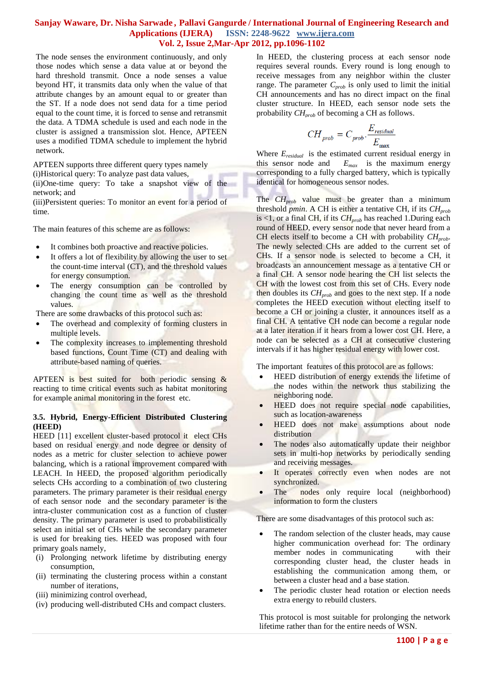The node senses the environment continuously, and only those nodes which sense a data value at or beyond the hard threshold transmit. Once a node senses a value beyond HT, it transmits data only when the value of that attribute changes by an amount equal to or greater than the ST. If a node does not send data for a time period equal to the count time, it is forced to sense and retransmit the data. A TDMA schedule is used and each node in the cluster is assigned a transmission slot. Hence, APTEEN uses a modified TDMA schedule to implement the hybrid network.

APTEEN supports three different query types namely

(i)Historical query: To analyze past data values,

(ii)One-time query: To take a snapshot view of the network; and

(iii)Persistent queries: To monitor an event for a period of time.

The main features of this scheme are as follows:

- It combines both proactive and reactive policies.
- It offers a lot of flexibility by allowing the user to set the count-time interval (CT), and the threshold values for energy consumption.
- The energy consumption can be controlled by changing the count time as well as the threshold values.

There are some drawbacks of this protocol such as:

- The overhead and complexity of forming clusters in multiple levels.
- The complexity increases to implementing threshold based functions, Count Time (CT) and dealing with attribute-based naming of queries.

APTEEN is best suited for both periodic sensing & reacting to time critical events such as habitat monitoring for example animal monitoring in the forest etc.

## **3.5. Hybrid, Energy-Efficient Distributed Clustering (HEED)**

HEED [11] excellent cluster-based protocol it elect CHs based on residual energy and node degree or density of nodes as a metric for cluster selection to achieve power balancing, which is a rational improvement compared with LEACH. In HEED, the proposed algorithm periodically selects CHs according to a combination of two clustering parameters. The primary parameter is their residual energy of each sensor node and the secondary parameter is the intra-cluster communication cost as a function of cluster density. The primary parameter is used to probabilistically select an initial set of CHs while the secondary parameter is used for breaking ties. HEED was proposed with four primary goals namely,

- (i) Prolonging network lifetime by distributing energy consumption,
- (ii) terminating the clustering process within a constant number of iterations,
- (iii) minimizing control overhead,
- (iv) producing well-distributed CHs and compact clusters.

In HEED, the clustering process at each sensor node requires several rounds. Every round is long enough to receive messages from any neighbor within the cluster range. The parameter *Cprob* is only used to limit the initial CH announcements and has no direct impact on the final cluster structure. In HEED, each sensor node sets the probability *CHprob* of becoming a CH as follows.

$$
CH_{prob} = C_{prob} \cdot \frac{E_{residual}}{E_{max}}
$$

Where *Eresidual* is the estimated current residual energy in this sensor node and  $E_{max}$  is the maximum energy corresponding to a fully charged battery, which is typically identical for homogeneous sensor nodes.

The *CHprob* value must be greater than a minimum threshold *pmin*. A CH is either a tentative CH, if its *CHprob* is <1, or a final CH, if its  $CH_{prob}$  has reached 1.During each round of HEED, every sensor node that never heard from a CH elects itself to become a CH with probability *CHprob*. The newly selected CHs are added to the current set of CHs. If a sensor node is selected to become a CH, it broadcasts an announcement message as a tentative CH or a final CH. A sensor node hearing the CH list selects the CH with the lowest cost from this set of CHs. Every node then doubles its *CHprob* and goes to the next step. If a node completes the HEED execution without electing itself to become a CH or joining a cluster, it announces itself as a final CH. A tentative CH node can become a regular node at a later iteration if it hears from a lower cost CH. Here, a node can be selected as a CH at consecutive clustering intervals if it has higher residual energy with lower cost.

The important features of this protocol are as follows:

- HEED distribution of energy extends the lifetime of the nodes within the network thus stabilizing the neighboring node.
- HEED does not require special node capabilities, such as location-awareness
- HEED does not make assumptions about node distribution
- The nodes also automatically update their neighbor sets in multi-hop networks by periodically sending and receiving messages.
- It operates correctly even when nodes are not synchronized.
- The nodes only require local (neighborhood) information to form the clusters

There are some disadvantages of this protocol such as:

- The random selection of the cluster heads, may cause higher communication overhead for: The ordinary member nodes in communicating with their corresponding cluster head, the cluster heads in establishing the communication among them, or between a cluster head and a base station.
- The periodic cluster head rotation or election needs extra energy to rebuild clusters.

This protocol is most suitable for prolonging the network lifetime rather than for the entire needs of WSN.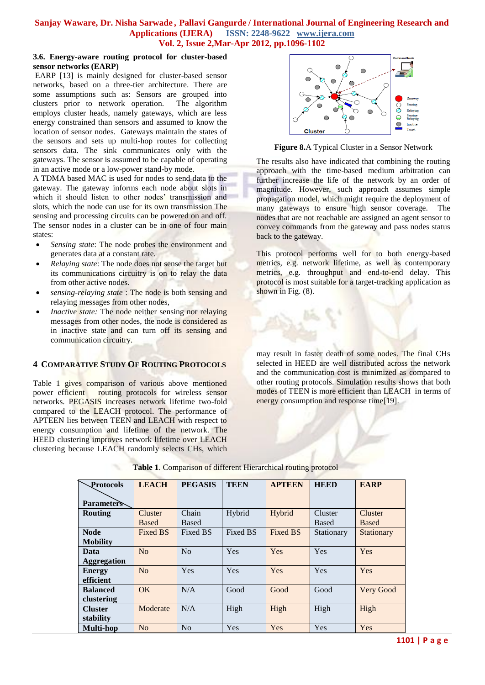#### **3.6. Energy-aware routing protocol for cluster-based sensor networks (EARP)**

EARP [13] is mainly designed for cluster-based sensor networks, based on a three-tier architecture. There are some assumptions such as: Sensors are grouped into clusters prior to network operation. The algorithm employs cluster heads, namely gateways, which are less energy constrained than sensors and assumed to know the location of sensor nodes. Gateways maintain the states of the sensors and sets up multi-hop routes for collecting sensors data. The sink communicates only with the gateways. The sensor is assumed to be capable of operating in an active mode or a low-power stand-by mode.

A TDMA based MAC is used for nodes to send data to the gateway. The gateway informs each node about slots in which it should listen to other nodes' transmission and slots, which the node can use for its own transmission The sensing and processing circuits can be powered on and off. The sensor nodes in a cluster can be in one of four main states:

- *Sensing state*: The node probes the environment and generates data at a constant rate.
- *Relaying state:* The node does not sense the target but its communications circuitry is on to relay the data from other active nodes.
- *sensing-relaying state* : The node is both sensing and relaying messages from other nodes,
- *Inactive state:* The node neither sensing nor relaying messages from other nodes, the node is considered as in inactive state and can turn off its sensing and communication circuitry.

# **4 COMPARATIVE STUDY OF ROUTING PROTOCOLS**

Table 1 gives comparison of various above mentioned power efficient routing protocols for wireless sensor networks. PEGASIS increases network lifetime two-fold compared to the LEACH protocol. The performance of APTEEN lies between TEEN and LEACH with respect to energy consumption and lifetime of the network. The HEED clustering improves network lifetime over LEACH clustering because LEACH randomly selects CHs, which



**Figure 8.**A Typical Cluster in a Sensor Network

The results also have indicated that combining the routing approach with the time-based medium arbitration can further increase the life of the network by an order of magnitude. However, such approach assumes simple propagation model, which might require the deployment of many gateways to ensure high sensor coverage. The nodes that are not reachable are assigned an agent sensor to convey commands from the gateway and pass nodes status back to the gateway.

This protocol performs well for to both energy-based metrics, e.g. network lifetime, as well as contemporary metrics, e.g. throughput and end-to-end delay. This protocol is most suitable for a target-tracking application as shown in Fig.  $(8)$ .

may result in faster death of some nodes. The final CHs selected in HEED are well distributed across the network and the communication cost is minimized as compared to other routing protocols. Simulation results shows that both modes of TEEN is more efficient than LEACH in terms of energy consumption and response time[19].

| Protocols                      | <b>LEACH</b>            | <b>PEGASIS</b> | <b>TEEN</b> | <b>APTEEN</b>   | <b>HEED</b>             | <b>EARP</b>                    |
|--------------------------------|-------------------------|----------------|-------------|-----------------|-------------------------|--------------------------------|
| <b>Parameters</b>              |                         |                |             |                 |                         |                                |
| <b>Routing</b>                 | Cluster<br><b>Based</b> | Chain<br>Based | Hybrid      | Hybrid          | Cluster<br><b>Based</b> | <b>Cluster</b><br><b>Based</b> |
| <b>Node</b><br><b>Mobility</b> | Fixed BS                | Fixed BS       | Fixed BS    | <b>Fixed BS</b> | Stationary              | Stationary                     |
| Data<br><b>Aggregation</b>     | N <sub>0</sub>          | No             | Yes         | Yes             | Yes                     | Yes                            |
| <b>Energy</b><br>efficient     | N <sub>o</sub>          | Yes            | Yes         | Yes             | Yes                     | Yes                            |
| <b>Balanced</b><br>clustering  | OK                      | N/A            | Good        | Good            | Good                    | Very Good                      |
| <b>Cluster</b><br>stability    | Moderate                | N/A            | High        | High            | High                    | High                           |
| <b>Multi-hop</b>               | No                      | No             | Yes         | Yes             | Yes                     | Yes                            |

|  | Table 1. Comparison of different Hierarchical routing protocol |
|--|----------------------------------------------------------------|
|--|----------------------------------------------------------------|